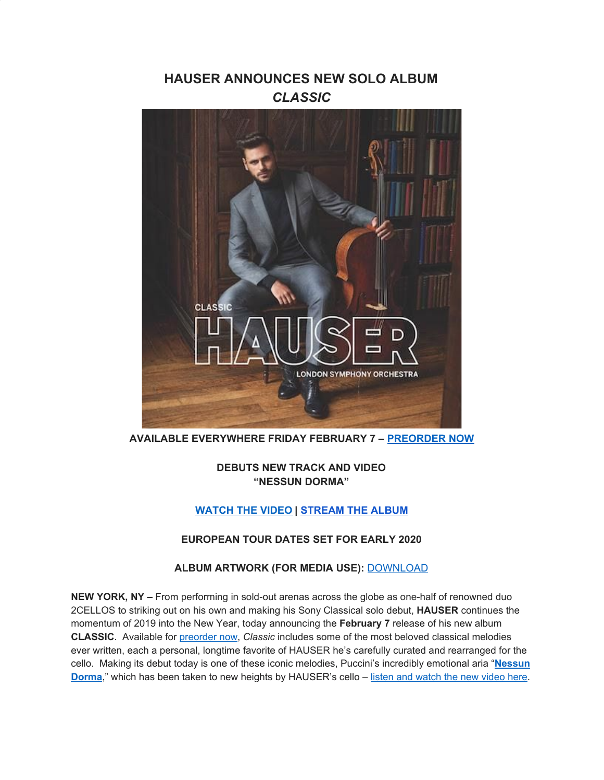# **HAUSER ANNOUNCES NEW SOLO ALBUM** *CLASSIC*



**AVAILABLE EVERYWHERE FRIDAY FEBRUARY 7 – [PREORDER NOW](https://u7061146.ct.sendgrid.net/wf/click?upn=G62jSYfZdO-2F12d8lSllQB6nSt9FxihzV0rQKjUlVr6JcFlfIbup0BUQlwiVGz0Ab_DruDjhchMBr5xQkz3h1qcOnjZc-2BCsAVhraQ7DxYhbA2-2BHLQf-2BHKWaWi2FTM7QHo-2Fd7eCMDRMAhfd2mcWSs-2FpzNW9MmuPwV7rH-2FbDd7DdSSYiHG9wjGhO7n7p1507v9k-2FEEyisWuLdpQJVRdi4uFYc90nob2I7cra4886xoSYvWfITjVfcZdOsP8gv5FbzLovO9VNggZ-2BZYqFJF6LVuZ-2Bepk0tOTnbXmsjifhR6e4cSQkizgQQXTYExLWUh0xS0Bt9dqmACMg8xpVIUxO5UXUI5-2FFsi-2F90So5PKaIM7tC77ZjjbxcwELM0Hgfqp-2FP3cnHUjugbgFTJeTWWcLt5rRX0Q6tsNV53zD5W53JBVo-2F0kQ-3D)**

**DEBUTS NEW TRACK AND VIDEO "NESSUN DORMA"**

## **[WATCH THE VIDEO](https://u7061146.ct.sendgrid.net/wf/click?upn=G62jSYfZdO-2F12d8lSllQB8Py45Kv8f-2BYRfyH7N0ZolMm0fn4DOfZmeYDMTOfDei2UicGwzNAWlf6L9XNIhQOtw-3D-3D_DruDjhchMBr5xQkz3h1qcOnjZc-2BCsAVhraQ7DxYhbA2-2BHLQf-2BHKWaWi2FTM7QHo-2Fd7eCMDRMAhfd2mcWSs-2FpzNW9MmuPwV7rH-2FbDd7DdSSYiHG9wjGhO7n7p1507v9k-2FEEyisWuLdpQJVRdi4uFYc90nob2I7cra4886xoSYvWfITjVfcZdOsP8gv5FbzLovO9VNggZ-2BZYqFJF6LVuZ-2BetdzaiJ9f2slSO4qS0pX3Tv34uBYd62Hi4LJyj04XIuPDN8Q5jWj5ibSBdF5eabO9zUHFFOADwqsXFZAbbvA7bFuTDA5jT9B0Gkr3r84MlCq2WK8i6u5AWyee7mXEvKxgc7vtUYjkQjUsj5ktn12mz0-3D) | [STREAM THE ALBUM](https://u7061146.ct.sendgrid.net/wf/click?upn=G62jSYfZdO-2F12d8lSllQBz90VWQsVigh5nYJ0tmSr7hPceDkp7QcQR6htASnINU0ZEXrSv-2BQoj6RbbzgwtBUSVb9zKnAD6Y3jiYlOJQ2NgwQmaBrpTTlK5TNPkhBOoUP_DruDjhchMBr5xQkz3h1qcOnjZc-2BCsAVhraQ7DxYhbA2-2BHLQf-2BHKWaWi2FTM7QHo-2Fd7eCMDRMAhfd2mcWSs-2FpzNW9MmuPwV7rH-2FbDd7DdSSYiHG9wjGhO7n7p1507v9k-2FEEyisWuLdpQJVRdi4uFYc90nob2I7cra4886xoSYvWfITjVfcZdOsP8gv5FbzLovO9VNggZ-2BZYqFJF6LVuZ-2BepOjLPFSO-2BjcdaP3HHFAOfpvUnhlx2JcEatvwBMg9RFclOie0WM7YFBd-2FajahIhYI42oLbBbyVFvbc-2BOzpnaJrO0Ox8dSKle-2BXf3hXqKEEdiWs0kWQaTNX5-2Bi7hmQH7D1SjDBbdpwnSKq4RfWZgZ8x8-3D)**

## **EUROPEAN TOUR DATES SET FOR EARLY 2020**

## **ALBUM ARTWORK (FOR MEDIA USE):** [DOWNLOAD](https://u7061146.ct.sendgrid.net/wf/click?upn=G62jSYfZdO-2F12d8lSllQB0abhwssW7HdarSdvH0d2N-2BLeW6odsG6sMQBrb1V38-2FdfEM0ySP8iVOb7Gb-2FUeX-2FPg-3D-3D_DruDjhchMBr5xQkz3h1qcOnjZc-2BCsAVhraQ7DxYhbA2-2BHLQf-2BHKWaWi2FTM7QHo-2Fd7eCMDRMAhfd2mcWSs-2FpzNW9MmuPwV7rH-2FbDd7DdSSYiHG9wjGhO7n7p1507v9k-2FEEyisWuLdpQJVRdi4uFYc90nob2I7cra4886xoSYvWfITjVfcZdOsP8gv5FbzLovO9VNggZ-2BZYqFJF6LVuZ-2Bem4wYZ8wykse7690-2FFfdhJPdeD4tG1jp9RDEqoteLIa3aOtzQvEXGd02mN-2B9gr3Rk7v0ZSdZUX4ArEh7z-2B5YIU8joliocge8Hsns4w9bcoVDzuwup4I8lwjJo4WG5HGoyDPT1fLu4lMoOIRX-2B6Tx3VE-3D)

**NEW YORK, NY –** From performing in sold-out arenas across the globe as one-half of renowned duo 2CELLOS to striking out on his own and making his Sony Classical solo debut, **HAUSER** continues the momentum of 2019 into the New Year, today announcing the **February 7** release of his new album **CLASSIC**. Available for [preorder](https://u7061146.ct.sendgrid.net/wf/click?upn=G62jSYfZdO-2F12d8lSllQB6nSt9FxihzV0rQKjUlVr6JcFlfIbup0BUQlwiVGz0Ab_DruDjhchMBr5xQkz3h1qcOnjZc-2BCsAVhraQ7DxYhbA2-2BHLQf-2BHKWaWi2FTM7QHo-2Fd7eCMDRMAhfd2mcWSs-2FpzNW9MmuPwV7rH-2FbDd7DdSSYiHG9wjGhO7n7p1507v9k-2FEEyisWuLdpQJVRdi4uFYc90nob2I7cra4886xoSYvWfITjVfcZdOsP8gv5FbzLovO9VNggZ-2BZYqFJF6LVuZ-2BeutqGV3ZcuZibTQQaeQwGH64Z5aaWzVzOEZMCcxPuWAAErgDqK3wV9EKnr9BCkQ6Y5ug3X6aINhIaLTkUyNZcosupGwXo5SSRpshqYraWD6W3gEZiHkPxG7l-2Bne4AA0P-2FAr7E-2BH4sc1Woe73D7a2CrY-3D) now, *Classic* includes some of the most beloved classical melodies ever written, each a personal, longtime favorite of HAUSER he's carefully curated and rearranged for the cello. Making its debut today is one of these iconic melodies, Puccini's incredibly emotional aria "**[Nessun](https://u7061146.ct.sendgrid.net/wf/click?upn=G62jSYfZdO-2F12d8lSllQB-2FhSxSvidJZeRC7fNkZ9o3mxcVeYolkNrjf11Ojuiqtk_DruDjhchMBr5xQkz3h1qcOnjZc-2BCsAVhraQ7DxYhbA2-2BHLQf-2BHKWaWi2FTM7QHo-2Fd7eCMDRMAhfd2mcWSs-2FpzNW9MmuPwV7rH-2FbDd7DdSSYiHG9wjGhO7n7p1507v9k-2FEEyisWuLdpQJVRdi4uFYc90nob2I7cra4886xoSYvWfITjVfcZdOsP8gv5FbzLovO9VNggZ-2BZYqFJF6LVuZ-2Bekg8HiLqQBZX-2ByofOGXjaJWK06-2BSHlkukKIAtVsyiRmBefgV03qDV3ZVzoMOLl9U576DoMrXZCpm9CMJnAHjZWwbyBCAFkhh7RGExRgO-2BpnWb5mW1PO0Kac-2B5Cpsek7gj9bTBd4tBYqHsLdUQ-2BWzx3k-3D) [Dorma](https://u7061146.ct.sendgrid.net/wf/click?upn=G62jSYfZdO-2F12d8lSllQB-2FhSxSvidJZeRC7fNkZ9o3mxcVeYolkNrjf11Ojuiqtk_DruDjhchMBr5xQkz3h1qcOnjZc-2BCsAVhraQ7DxYhbA2-2BHLQf-2BHKWaWi2FTM7QHo-2Fd7eCMDRMAhfd2mcWSs-2FpzNW9MmuPwV7rH-2FbDd7DdSSYiHG9wjGhO7n7p1507v9k-2FEEyisWuLdpQJVRdi4uFYc90nob2I7cra4886xoSYvWfITjVfcZdOsP8gv5FbzLovO9VNggZ-2BZYqFJF6LVuZ-2Bekg8HiLqQBZX-2ByofOGXjaJWK06-2BSHlkukKIAtVsyiRmBefgV03qDV3ZVzoMOLl9U576DoMrXZCpm9CMJnAHjZWwbyBCAFkhh7RGExRgO-2BpnWb5mW1PO0Kac-2B5Cpsek7gj9bTBd4tBYqHsLdUQ-2BWzx3k-3D)**," which has been taken to new heights by HAUSER's cello – listen and [watch](https://u7061146.ct.sendgrid.net/wf/click?upn=G62jSYfZdO-2F12d8lSllQB6nSt9FxihzV0rQKjUlVr6JcFlfIbup0BUQlwiVGz0Ab_DruDjhchMBr5xQkz3h1qcOnjZc-2BCsAVhraQ7DxYhbA2-2BHLQf-2BHKWaWi2FTM7QHo-2Fd7eCMDRMAhfd2mcWSs-2FpzNW9MmuPwV7rH-2FbDd7DdSSYiHG9wjGhO7n7p1507v9k-2FEEyisWuLdpQJVRdi4uFYc90nob2I7cra4886xoSYvWfITjVfcZdOsP8gv5FbzLovO9VNggZ-2BZYqFJF6LVuZ-2Bemcwk-2FkZW754Yyy12iDPaA0CV8Lsy4zfoX1PIDjujJs-2FFtH3QSv0HLejlG73tY7obrGgAx4MIKugtHtR0wY-2BAxnMk-2BkbfC0atA4-2BSZJXaYHEfzi9NnNPZTgLA586NmZs3R2dY7hv-2BAMmrS8czPuqA9U-3D) the new video here.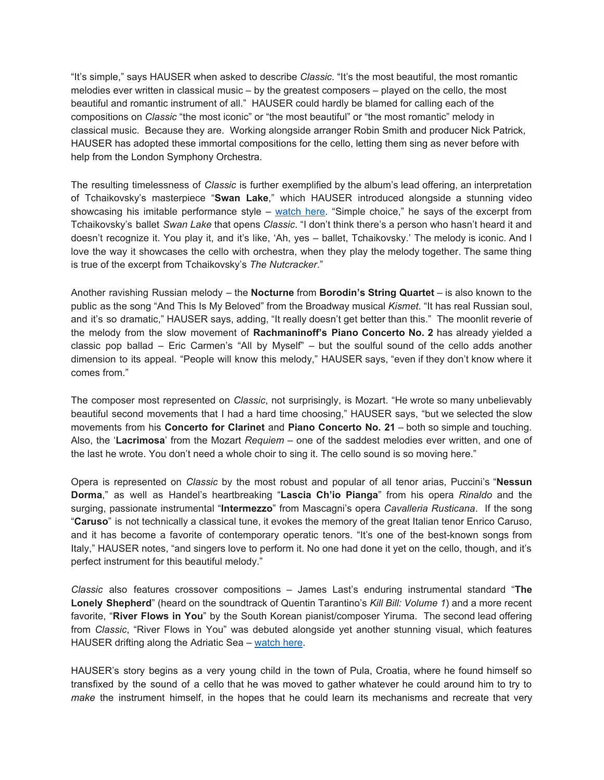"It's simple," says HAUSER when asked to describe *Classic*. "It's the most beautiful, the most romantic melodies ever written in classical music – by the greatest composers – played on the cello, the most beautiful and romantic instrument of all." HAUSER could hardly be blamed for calling each of the compositions on *Classic* "the most iconic" or "the most beautiful" or "the most romantic" melody in classical music. Because they are. Working alongside arranger Robin Smith and producer Nick Patrick, HAUSER has adopted these immortal compositions for the cello, letting them sing as never before with help from the London Symphony Orchestra.

The resulting timelessness of *Classic* is further exemplified by the album's lead offering, an interpretation of Tchaikovsky's masterpiece "**Swan Lake**," which HAUSER introduced alongside a stunning video showcasing his imitable performance style – [watch](https://u7061146.ct.sendgrid.net/wf/click?upn=G62jSYfZdO-2F12d8lSllQB1Rl2undlAMRdkk6UR3OValZ29XOK8OEpK18uaBqgz96_DruDjhchMBr5xQkz3h1qcOnjZc-2BCsAVhraQ7DxYhbA2-2BHLQf-2BHKWaWi2FTM7QHo-2Fd7eCMDRMAhfd2mcWSs-2FpzNW9MmuPwV7rH-2FbDd7DdSSYiHG9wjGhO7n7p1507v9k-2FEEyisWuLdpQJVRdi4uFYc90nob2I7cra4886xoSYvWfITjVfcZdOsP8gv5FbzLovO9VNggZ-2BZYqFJF6LVuZ-2BehfSWe1-2BIne1SfaBKhk4DjSSn-2FIEeneu3mRedGKbDNrXyUIcVQ82bLpISma4UxeeFnFuXcsgp-2FEG7qVuy-2FaPIs35l60dqgqvQfQ1PmoXb0iBxJFLRiUOhFU3eP2g0NCUbig2Qy04KG-2BB70LZw6jb4dM-3D) here. "Simple choice," he says of the excerpt from Tchaikovsky's ballet *Swan Lake* that opens *Classic*. "I don't think there's a person who hasn't heard it and doesn't recognize it. You play it, and it's like, 'Ah, yes - ballet, Tchaikovsky.' The melody is iconic. And I love the way it showcases the cello with orchestra, when they play the melody together. The same thing is true of the excerpt from Tchaikovsky's *The Nutcracker*."

Another ravishing Russian melody – the **Nocturne** from **Borodin's String Quartet** – is also known to the public as the song "And This Is My Beloved" from the Broadway musical *Kismet*. "It has real Russian soul, and it's so dramatic," HAUSER says, adding, "It really doesn't get better than this." The moonlit reverie of the melody from the slow movement of **Rachmaninoff's Piano Concerto No. 2** has already yielded a classic pop ballad – Eric Carmen's "All by Myself" – but the soulful sound of the cello adds another dimension to its appeal. "People will know this melody," HAUSER says, "even if they don't know where it comes from."

The composer most represented on *Classic*, not surprisingly, is Mozart. "He wrote so many unbelievably beautiful second movements that I had a hard time choosing," HAUSER says, "but we selected the slow movements from his **Concerto for Clarinet** and **Piano Concerto No. 21** – both so simple and touching. Also, the '**Lacrimosa**' from the Mozart *Requiem* – one of the saddest melodies ever written, and one of the last he wrote. You don't need a whole choir to sing it. The cello sound is so moving here."

Opera is represented on *Classic* by the most robust and popular of all tenor arias, Puccini's "**Nessun Dorma**," as well as Handel's heartbreaking "**Lascia Ch'io Pianga**" from his opera *Rinaldo* and the surging, passionate instrumental "**Intermezzo**" from Mascagni's opera *Cavalleria Rusticana*. If the song "**Caruso**" is not technically a classical tune, it evokes the memory of the great Italian tenor Enrico Caruso, and it has become a favorite of contemporary operatic tenors. "It's one of the best-known songs from Italy," HAUSER notes, "and singers love to perform it. No one had done it yet on the cello, though, and it's perfect instrument for this beautiful melody."

*Classic* also features crossover compositions – James Last's enduring instrumental standard "**The Lonely Shepherd**" (heard on the soundtrack of Quentin Tarantino's *Kill Bill: Volume 1*) and a more recent favorite, "**River Flows in You**" by the South Korean pianist/composer Yiruma. The second lead offering from *Classic*, "River Flows in You" was debuted alongside yet another stunning visual, which features HAUSER drifting along the Adriatic Sea – [watch](https://u7061146.ct.sendgrid.net/wf/click?upn=G62jSYfZdO-2F12d8lSllQB3HkAYIH6LVcGTndJCnSmwh6ZonsuqSSiiYP05KA87lN_DruDjhchMBr5xQkz3h1qcOnjZc-2BCsAVhraQ7DxYhbA2-2BHLQf-2BHKWaWi2FTM7QHo-2Fd7eCMDRMAhfd2mcWSs-2FpzNW9MmuPwV7rH-2FbDd7DdSSYiHG9wjGhO7n7p1507v9k-2FEEyisWuLdpQJVRdi4uFYc90nob2I7cra4886xoSYvWfITjVfcZdOsP8gv5FbzLovO9VNggZ-2BZYqFJF6LVuZ-2BegNxvRDIH4RtamwHs4toAVdSlDjdm359mrujrILfI3jley9TbeHBWXHVZbng4Bz736fPyxNp0GIkRZH-2BcYWhSCNUhxgPF0EoA7THRWF3jtw08Q5h8cxXpxOR8AaAuvtnlD1xZ6sjNDr-2BqusZ-2FadEvf0-3D) here.

HAUSER's story begins as a very young child in the town of Pula, Croatia, where he found himself so transfixed by the sound of a cello that he was moved to gather whatever he could around him to try to *make* the instrument himself, in the hopes that he could learn its mechanisms and recreate that very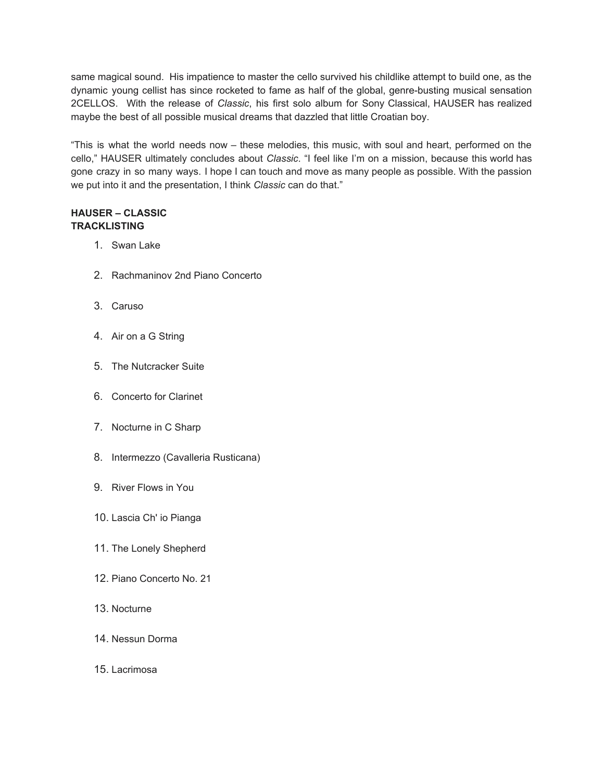same magical sound. His impatience to master the cello survived his childlike attempt to build one, as the dynamic young cellist has since rocketed to fame as half of the global, genre-busting musical sensation 2CELLOS. With the release of *Classic*, his first solo album for Sony Classical, HAUSER has realized maybe the best of all possible musical dreams that dazzled that little Croatian boy.

"This is what the world needs now – these melodies, this music, with soul and heart, performed on the cello," HAUSER ultimately concludes about *Classic*. "I feel like I'm on a mission, because this world has gone crazy in so many ways. I hope I can touch and move as many people as possible. With the passion we put into it and the presentation, I think *Classic* can do that."

## **HAUSER – CLASSIC TRACKLISTING**

- 1. Swan Lake
- 2. Rachmaninov 2nd Piano Concerto
- 3. Caruso
- 4. Air on a G String
- 5. The Nutcracker Suite
- 6. Concerto for Clarinet
- 7. Nocturne in C Sharp
- 8. Intermezzo (Cavalleria Rusticana)
- 9. River Flows in You
- 10. Lascia Ch' io Pianga
- 11. The Lonely Shepherd
- 12. Piano Concerto No. 21
- 13. Nocturne
- 14. Nessun Dorma
- 15. Lacrimosa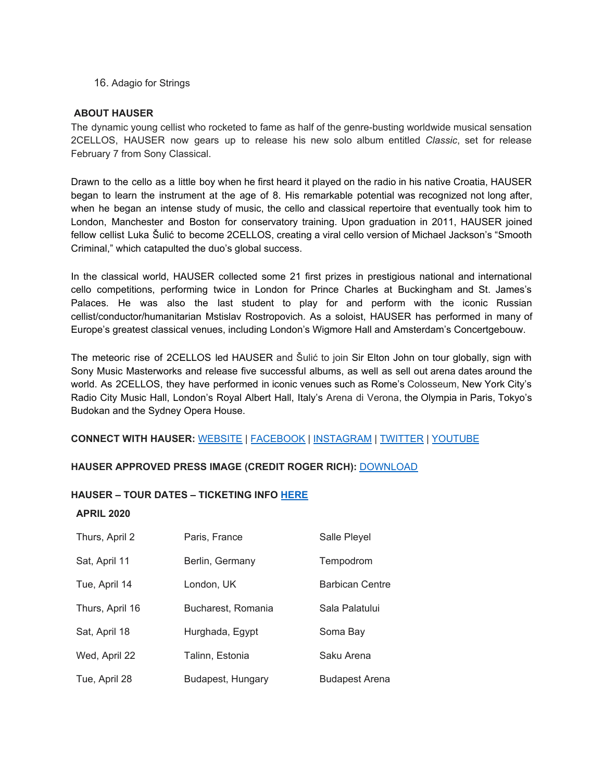16. Adagio for Strings

#### **ABOUT HAUSER**

The dynamic young cellist who rocketed to fame as half of the genre-busting worldwide musical sensation 2CELLOS, HAUSER now gears up to release his new solo album entitled *Classic*, set for release February 7 from Sony Classical.

Drawn to the cello as a little boy when he first heard it played on the radio in his native Croatia, HAUSER began to learn the instrument at the age of 8. His remarkable potential was recognized not long after, when he began an intense study of music, the cello and classical repertoire that eventually took him to London, Manchester and Boston for conservatory training. Upon graduation in 2011, HAUSER joined fellow cellist Luka Šulić to become 2CELLOS, creating a viral cello version of Michael Jackson's "Smooth Criminal," which catapulted the duo's global success.

In the classical world, HAUSER collected some 21 first prizes in prestigious national and international cello competitions, performing twice in London for Prince Charles at Buckingham and St. James's Palaces. He was also the last student to play for and perform with the iconic Russian cellist/conductor/humanitarian Mstislav Rostropovich. As a soloist, HAUSER has performed in many of Europe's greatest classical venues, including London's Wigmore Hall and Amsterdam's Concertgebouw.

The meteoric rise of 2CELLOS led HAUSER and Šulić to join Sir Elton John on tour globally, sign with Sony Music Masterworks and release five successful albums, as well as sell out arena dates around the world. As 2CELLOS, they have performed in iconic venues such as Rome's Colosseum, New York City's Radio City Music Hall, London's Royal Albert Hall, Italy's Arena di Verona, the Olympia in Paris, Tokyo's Budokan and the Sydney Opera House.

#### **CONNECT WITH HAUSER:** [WEBSITE](https://u7061146.ct.sendgrid.net/wf/click?upn=G62jSYfZdO-2F12d8lSllQBxKmpMJX-2Fayrbdk8IpHdOQUq-2Bs1Z9pXRnTUEyZWYtjIc_DruDjhchMBr5xQkz3h1qcOnjZc-2BCsAVhraQ7DxYhbA2-2BHLQf-2BHKWaWi2FTM7QHo-2Fd7eCMDRMAhfd2mcWSs-2FpzNW9MmuPwV7rH-2FbDd7DdSSYiHG9wjGhO7n7p1507v9k-2FEEyisWuLdpQJVRdi4uFYc90nob2I7cra4886xoSYvWfITjVfcZdOsP8gv5FbzLovO9VNggZ-2BZYqFJF6LVuZ-2BenMcsseink4zxo36EjCWvO7J0hDassNjXoa1cMFLNNGT1O8Zw82-2Fj1B5WldIVBm4s9Ab-2FIiK3-2BNqIEflBEcbEndwFpLKO415kjPXUQGlSYvvZ3Xf1QIOHfEP6jMk1NUVQ6JEVi4LPvKLxU5UaezW12w-3D) | [FACEBOOK](https://u7061146.ct.sendgrid.net/wf/click?upn=G62jSYfZdO-2F12d8lSllQB7-2FfNA5ybbus3d-2BYXhcEJq2OFksJkEjzuS5XUzJQtOnQ_DruDjhchMBr5xQkz3h1qcOnjZc-2BCsAVhraQ7DxYhbA2-2BHLQf-2BHKWaWi2FTM7QHo-2Fd7eCMDRMAhfd2mcWSs-2FpzNW9MmuPwV7rH-2FbDd7DdSSYiHG9wjGhO7n7p1507v9k-2FEEyisWuLdpQJVRdi4uFYc90nob2I7cra4886xoSYvWfITjVfcZdOsP8gv5FbzLovO9VNggZ-2BZYqFJF6LVuZ-2BelRmhuoiN8WscjjFWfb6LWkuCDTX23bZoTfQQwBJmvENShoQnEeEtSs5INKdWFzAtxAAXLo1p037oDLGo1gMpnOgwJmnrMfvugGmhWI6vUBeBCWqgyKTyX3PoXT9HZ5HFmDx4Rn0oRklPpZPxX4NrdQ-3D) | [INSTAGRAM](https://u7061146.ct.sendgrid.net/wf/click?upn=G62jSYfZdO-2F12d8lSllQB9oOLDZSTbZztgIax2cHdIrN3Ln8Ch7BydyCLzGgq7AG_DruDjhchMBr5xQkz3h1qcOnjZc-2BCsAVhraQ7DxYhbA2-2BHLQf-2BHKWaWi2FTM7QHo-2Fd7eCMDRMAhfd2mcWSs-2FpzNW9MmuPwV7rH-2FbDd7DdSSYiHG9wjGhO7n7p1507v9k-2FEEyisWuLdpQJVRdi4uFYc90nob2I7cra4886xoSYvWfITjVfcZdOsP8gv5FbzLovO9VNggZ-2BZYqFJF6LVuZ-2Beg7KPGSUyqrceVSLi432tMXEHiFaWTBJC-2F7torxpfn1-2F3zI2k-2FTpRf2zS4rZIYyz2vHOd0ZX3upyjNdB5VE8WRK5oSgab5fyWPEmLltYa9-2F2OKyyhZPn4T27vbiCmgKxlgR7y1RTK095oGrQuGBObYI-3D) | [TWITTER](https://u7061146.ct.sendgrid.net/wf/click?upn=G62jSYfZdO-2F12d8lSllQB-2F1JkTkpDaQw2cO2OsUoP-2Bj-2By4U56tSitnTh-2BISmq2yQ_DruDjhchMBr5xQkz3h1qcOnjZc-2BCsAVhraQ7DxYhbA2-2BHLQf-2BHKWaWi2FTM7QHo-2Fd7eCMDRMAhfd2mcWSs-2FpzNW9MmuPwV7rH-2FbDd7DdSSYiHG9wjGhO7n7p1507v9k-2FEEyisWuLdpQJVRdi4uFYc90nob2I7cra4886xoSYvWfITjVfcZdOsP8gv5FbzLovO9VNggZ-2BZYqFJF6LVuZ-2Bev0ctFL9QqtTTfmTtV7sLJQPPaVE2OKvHF2UGHnMdl7-2FWnaYrntd0CSWWx6rQRm0lCdzbyeZctlZvAOoSETVD0tyskAcs-2BM0QtYscZfxyhyasnD3toP07MOEdOFhwqIk-2FQ2sVdngizGHmWQ4qQKTFVo-3D) | [YOUTUBE](https://u7061146.ct.sendgrid.net/wf/click?upn=G62jSYfZdO-2F12d8lSllQB8Py45Kv8f-2BYRfyH7N0ZolNQCv2y6BDVS0Wmf3DHL39O-2BkIVSwKbF3yZNHZhRpZ90w-3D-3D_DruDjhchMBr5xQkz3h1qcOnjZc-2BCsAVhraQ7DxYhbA2-2BHLQf-2BHKWaWi2FTM7QHo-2Fd7eCMDRMAhfd2mcWSs-2FpzNW9MmuPwV7rH-2FbDd7DdSSYiHG9wjGhO7n7p1507v9k-2FEEyisWuLdpQJVRdi4uFYc90nob2I7cra4886xoSYvWfITjVfcZdOsP8gv5FbzLovO9VNggZ-2BZYqFJF6LVuZ-2Bes8eovuEpzksYhWuhgYPqrKyFVmsa5lZFsotCntrmeeUhruc9Z5CFZ5uhVHJr88hZj5QxUGckU5JOoPBf-2Bg0d4Zh-2F0dZonEoJn4Jc0B9hweCn0yc0ZV6l8t9K9A2Bg6yVZP9uE3ZX0ctCHAgd8pSRcQ-3D)

#### **HAUSER APPROVED PRESS IMAGE (CREDIT ROGER RICH):** [DOWNLOAD](https://u7061146.ct.sendgrid.net/wf/click?upn=G62jSYfZdO-2F12d8lSllQB3TRGCNWk7ShOnmo1RftY5eHF9DvySyRO-2FGPkyc4umLvCocMnLwjWzk6OtVTyVf1mA-3D-3D_DruDjhchMBr5xQkz3h1qcOnjZc-2BCsAVhraQ7DxYhbA2-2BHLQf-2BHKWaWi2FTM7QHo-2Fd7eCMDRMAhfd2mcWSs-2FpzNW9MmuPwV7rH-2FbDd7DdSSYiHG9wjGhO7n7p1507v9k-2FEEyisWuLdpQJVRdi4uFYc90nob2I7cra4886xoSYvWfITjVfcZdOsP8gv5FbzLovO9VNggZ-2BZYqFJF6LVuZ-2BepvaDd-2BQpeSw7IDnIuZynC4u5-2BPQXTCwWRiZaLUWLPbZljdlOCe3p-2BmI2CUopUwYCoYECE-2B2B1vFJJeoDnIYRyc-2FmEdrRZcxYllpEqZQQrpa-2FiKaFHHPbnU6DoD2runfS2416iu61lzIJGygzH3FSnQ-3D)

#### **HAUSER – TOUR DATES – TICKETING INFO [HERE](https://u7061146.ct.sendgrid.net/wf/click?upn=G62jSYfZdO-2F12d8lSllQBxKmpMJX-2Fayrbdk8IpHdOQVwmxIFlNHuthyDNOC7dkhV_DruDjhchMBr5xQkz3h1qcOnjZc-2BCsAVhraQ7DxYhbA2-2BHLQf-2BHKWaWi2FTM7QHo-2Fd7eCMDRMAhfd2mcWSs-2FpzNW9MmuPwV7rH-2FbDd7DdSSYiHG9wjGhO7n7p1507v9k-2FEEyisWuLdpQJVRdi4uFYc90nob2I7cra4886xoSYvWfITjVfcZdOsP8gv5FbzLovO9VNggZ-2BZYqFJF6LVuZ-2BeoNNH-2Bd0YUYHVhpI12XaRMGNnKo-2F679eRChlaaRXj3Stm99GvdXvr51YZoXRfUuKMRn2cR3Nu1WIY5Cp7kLLv8xX02LFCPBtWqijuRVwzS9E0PdtUzBWW3RmXHW7DgBfifjyWqjG0il-2Bxbsdjpe5KoQ-3D)**

#### **APRIL 2020**

| Thurs, April 2  | Paris, France      | Salle Pleyel           |
|-----------------|--------------------|------------------------|
| Sat, April 11   | Berlin, Germany    | Tempodrom              |
| Tue, April 14   | London, UK         | <b>Barbican Centre</b> |
| Thurs, April 16 | Bucharest, Romania | Sala Palatului         |
| Sat, April 18   | Hurghada, Egypt    | Soma Bay               |
| Wed, April 22   | Talinn, Estonia    | Saku Arena             |
| Tue, April 28   | Budapest, Hungary  | <b>Budapest Arena</b>  |